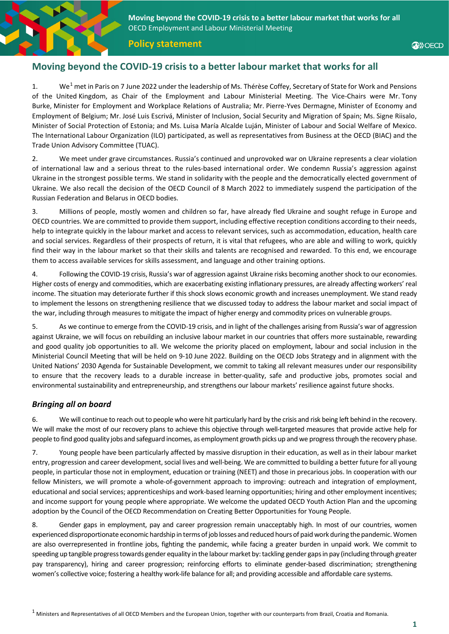**Moving beyond the COVID-19 crisis to a better labour market that works for all** OECD Employment and Labour Ministerial Meeting

**Policy statement**

### **Moving beyond the COVID-19 crisis to a better labour market that works for all**

[1](#page-0-0). We<sup>1</sup> met in Paris on 7 June 2022 under the leadership of Ms. Thérèse Coffey, Secretary of State for Work and Pensions of the United Kingdom, as Chair of the Employment and Labour Ministerial Meeting. The Vice-Chairs were Mr. Tony Burke, Minister for Employment and Workplace Relations of Australia; Mr. Pierre-Yves Dermagne, Minister of Economy and Employment of Belgium; Mr. José Luis Escrivá, Minister of Inclusion, Social Security and Migration of Spain; Ms. Signe Riisalo, Minister of Social Protection of Estonia; and Ms. Luisa María Alcalde Luján, Minister of Labour and Social Welfare of Mexico. The International Labour Organization (ILO) participated, as well as representatives from Business at the OECD (BIAC) and the Trade Union Advisory Committee (TUAC).

2. We meet under grave circumstances. Russia's continued and unprovoked war on Ukraine represents a clear violation of international law and a serious threat to the rules-based international order. We condemn Russia's aggression against Ukraine in the strongest possible terms. We stand in solidarity with the people and the democratically elected government of Ukraine. We also recall the decision of the OECD Council of 8 March 2022 to immediately suspend the participation of the Russian Federation and Belarus in OECD bodies.

3. Millions of people, mostly women and children so far, have already fled Ukraine and sought refuge in Europe and OECD countries. We are committed to provide them support, including effective reception conditions according to their needs, help to integrate quickly in the labour market and access to relevant services, such as accommodation, education, health care and social services. Regardless of their prospects of return, it is vital that refugees, who are able and willing to work, quickly find their way in the labour market so that their skills and talents are recognised and rewarded. To this end, we encourage them to access available services for skills assessment, and language and other training options.

4. Following the COVID-19 crisis, Russia's war of aggression against Ukraine risks becoming anothershock to our economies. Higher costs of energy and commodities, which are exacerbating existing inflationary pressures, are already affecting workers' real income. The situation may deteriorate further if this shock slows economic growth and increases unemployment. We stand ready to implement the lessons on strengthening resilience that we discussed today to address the labour market and social impact of the war, including through measures to mitigate the impact of higher energy and commodity prices on vulnerable groups.

5. As we continue to emerge from the COVID-19 crisis, and in light of the challenges arising from Russia's war of aggression against Ukraine, we will focus on rebuilding an inclusive labour market in our countries that offers more sustainable, rewarding and good quality job opportunities to all. We welcome the priority placed on employment, labour and social inclusion in the Ministerial Council Meeting that will be held on 9-10 June 2022. Building on the OECD Jobs Strategy and in alignment with the United Nations' 2030 Agenda for Sustainable Development, we commit to taking all relevant measures under our responsibility to ensure that the recovery leads to a durable increase in better-quality, safe and productive jobs, promotes social and environmental sustainability and entrepreneurship, and strengthens our labour markets' resilience against future shocks.

### *Bringing all on board*

6. We will continue to reach out to people who were hit particularly hard by the crisis and risk being left behind in the recovery. We will make the most of our recovery plans to achieve this objective through well-targeted measures that provide active help for people to find good quality jobs and safeguard incomes, as employment growth picks up and we progress through the recovery phase.

7. Young people have been particularly affected by massive disruption in their education, as well as in their labour market entry, progression and career development, social lives and well-being. We are committed to building a better future for all young people, in particular those not in employment, education or training (NEET) and those in precarious jobs. In cooperation with our fellow Ministers, we will promote a whole-of-government approach to improving: outreach and integration of employment, educational and social services; apprenticeships and work-based learning opportunities; hiring and other employment incentives; and income support for young people where appropriate. We welcome the updated OECD Youth Action Plan and the upcoming adoption by the Council of the OECD Recommendation on Creating Better Opportunities for Young People.

<span id="page-0-0"></span>8. Gender gaps in employment, pay and career progression remain unacceptably high. In most of our countries, women experienced disproportionate economic hardship in terms of job losses and reduced hours of paid work during the pandemic. Women are also overrepresented in frontline jobs, fighting the pandemic, while facing a greater burden in unpaid work. We commit to speeding up tangible progress towards gender equality in the labour market by: tackling gender gaps in pay (including through greater pay transparency), hiring and career progression; reinforcing efforts to eliminate gender-based discrimination; strengthening women's collective voice; fostering a healthy work-life balance for all; and providing accessible and affordable care systems.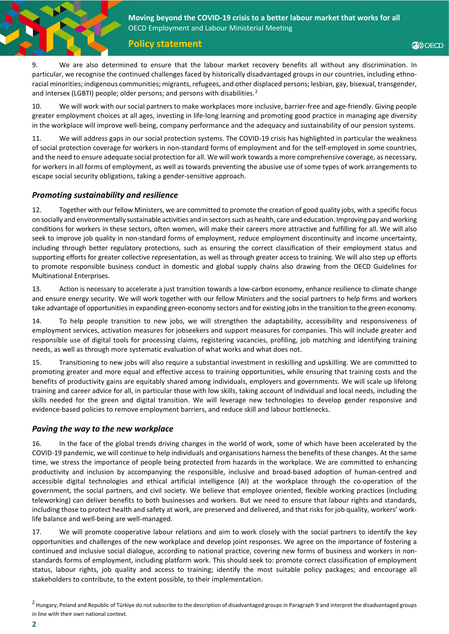**Moving beyond the COVID-19 crisis to a better labour market that works for all** OECD Employment and Labour Ministerial Meeting

**Policy statement**

9. We are also determined to ensure that the labour market recovery benefits all without any discrimination. In particular, we recognise the continued challenges faced by historically disadvantaged groups in our countries, including ethnoracial minorities; indigenous communities; migrants, refugees, and other displaced persons; lesbian, gay, bisexual, transgender, and intersex (LGBTI) people; older persons; and persons with disabilities.<sup>[2](#page-1-0)</sup>

10. We will work with our social partners to make workplaces more inclusive, barrier-free and age-friendly. Giving people greater employment choices at all ages, investing in life-long learning and promoting good practice in managing age diversity in the workplace will improve well-being, company performance and the adequacy and sustainability of our pension systems.

11. We will address gaps in our social protection systems. The COVID-19 crisis has highlighted in particular the weakness of social protection coverage for workers in non-standard forms of employment and for the self-employed in some countries, and the need to ensure adequate social protection for all. We will work towards a more comprehensive coverage, as necessary, for workers in all forms of employment, as well as towards preventing the abusive use of some types of work arrangements to escape social security obligations, taking a gender-sensitive approach.

### *Promoting sustainability and resilience*

12. Together with our fellow Ministers, we are committed to promote the creation of good quality jobs, with a specific focus on socially and environmentally sustainable activities and in sectors such as health, care and education. Improving pay and working conditions for workers in these sectors, often women, will make their careers more attractive and fulfilling for all. We will also seek to improve job quality in non-standard forms of employment, reduce employment discontinuity and income uncertainty, including through better regulatory protections, such as ensuring the correct classification of their employment status and supporting efforts for greater collective representation, as well as through greater access to training. We will also step up efforts to promote responsible business conduct in domestic and global supply chains also drawing from the OECD Guidelines for Multinational Enterprises.

13. Action is necessary to accelerate a just transition towards a low-carbon economy, enhance resilience to climate change and ensure energy security. We will work together with our fellow Ministers and the social partners to help firms and workers take advantage of opportunities in expanding green-economy sectors and for existing jobs in the transition to the green economy.

14. To help people transition to new jobs, we will strengthen the adaptability, accessibility and responsiveness of employment services, activation measures for jobseekers and support measures for companies. This will include greater and responsible use of digital tools for processing claims, registering vacancies, profiling, job matching and identifying training needs, as well as through more systematic evaluation of what works and what does not.

15. Transitioning to new jobs will also require a substantial investment in reskilling and upskilling. We are committed to promoting greater and more equal and effective access to training opportunities, while ensuring that training costs and the benefits of productivity gains are equitably shared among individuals, employers and governments. We will scale up lifelong training and career advice for all, in particular those with low skills, taking account of individual and local needs, including the skills needed for the green and digital transition. We will leverage new technologies to develop gender responsive and evidence-based policies to remove employment barriers, and reduce skill and labour bottlenecks.

### *Paving the way to the new workplace*

16. In the face of the global trends driving changes in the world of work, some of which have been accelerated by the COVID-19 pandemic, we will continue to help individuals and organisations harness the benefits of these changes. At the same time, we stress the importance of people being protected from hazards in the workplace. We are committed to enhancing productivity and inclusion by accompanying the responsible, inclusive and broad-based adoption of human-centred and accessible digital technologies and ethical artificial intelligence (AI) at the workplace through the co-operation of the government, the social partners, and civil society. We believe that employee oriented, flexible working practices (including teleworking) can deliver benefits to both businesses and workers. But we need to ensure that labour rights and standards, including those to protect health and safety at work, are preserved and delivered, and that risks for job quality, workers' worklife balance and well-being are well-managed.

17. We will promote cooperative labour relations and aim to work closely with the social partners to identify the key opportunities and challenges of the new workplace and develop joint responses. We agree on the importance of fostering a continued and inclusive social dialogue, according to national practice, covering new forms of business and workers in nonstandards forms of employment, including platform work. This should seek to: promote correct classification of employment status, labour rights, job quality and access to training; identify the most suitable policy packages; and encourage all stakeholders to contribute, to the extent possible, to their implementation.

<span id="page-1-0"></span> $<sup>2</sup>$  Hungary, Poland and Republic of Türkiye do not subscribe to the description of disadvantaged groups in Paragraph 9 and interpret the disadvantaged groups</sup> in line with their own national context.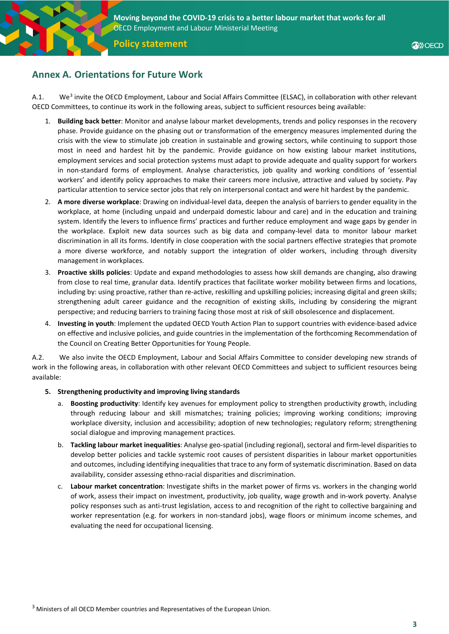

**Policy statement**

# **Annex A. Orientations for Future Work**

A.1. We<sup>[3](#page-2-0)</sup> invite the OECD Employment, Labour and Social Affairs Committee (ELSAC), in collaboration with other relevant OECD Committees, to continue its work in the following areas, subject to sufficient resources being available:

- 1. **Building back better**: Monitor and analyse labour market developments, trends and policy responses in the recovery phase. Provide guidance on the phasing out or transformation of the emergency measures implemented during the crisis with the view to stimulate job creation in sustainable and growing sectors, while continuing to support those most in need and hardest hit by the pandemic. Provide guidance on how existing labour market institutions, employment services and social protection systems must adapt to provide adequate and quality support for workers in non-standard forms of employment. Analyse characteristics, job quality and working conditions of 'essential workers' and identify policy approaches to make their careers more inclusive, attractive and valued by society. Pay particular attention to service sector jobs that rely on interpersonal contact and were hit hardest by the pandemic.
- 2. **A more diverse workplace**: Drawing on individual-level data, deepen the analysis of barriers to gender equality in the workplace, at home (including unpaid and underpaid domestic labour and care) and in the education and training system. Identify the levers to influence firms' practices and further reduce employment and wage gaps by gender in the workplace. Exploit new data sources such as big data and company-level data to monitor labour market discrimination in all its forms. Identify in close cooperation with the social partners effective strategies that promote a more diverse workforce, and notably support the integration of older workers, including through diversity management in workplaces.
- 3. **Proactive skills policies**: Update and expand methodologies to assess how skill demands are changing, also drawing from close to real time, granular data. Identify practices that facilitate worker mobility between firms and locations, including by: using proactive, rather than re-active, reskilling and upskilling policies; increasing digital and green skills; strengthening adult career guidance and the recognition of existing skills, including by considering the migrant perspective; and reducing barriers to training facing those most at risk of skill obsolescence and displacement.
- 4. **Investing in youth**: Implement the updated OECD Youth Action Plan to support countries with evidence-based advice on effective and inclusive policies, and guide countries in the implementation of the forthcoming Recommendation of the Council on Creating Better Opportunities for Young People.

A.2. We also invite the OECD Employment, Labour and Social Affairs Committee to consider developing new strands of work in the following areas, in collaboration with other relevant OECD Committees and subject to sufficient resources being available:

### **5. Strengthening productivity and improving living standards**

- a. **Boosting productivity**: Identify key avenues for employment policy to strengthen productivity growth, including through reducing labour and skill mismatches; training policies; improving working conditions; improving workplace diversity, inclusion and accessibility; adoption of new technologies; regulatory reform; strengthening social dialogue and improving management practices.
- b. **Tackling labour market inequalities**: Analyse geo-spatial (including regional), sectoral and firm-level disparities to develop better policies and tackle systemic root causes of persistent disparities in labour market opportunities and outcomes, including identifying inequalities that trace to any form of systematic discrimination. Based on data availability, consider assessing ethno-racial disparities and discrimination.
- <span id="page-2-0"></span>c. **Labour market concentration**: Investigate shifts in the market power of firms vs. workers in the changing world of work, assess their impact on investment, productivity, job quality, wage growth and in-work poverty. Analyse policy responses such as anti-trust legislation, access to and recognition of the right to collective bargaining and worker representation (e.g. for workers in non-standard jobs), wage floors or minimum income schemes, and evaluating the need for occupational licensing.